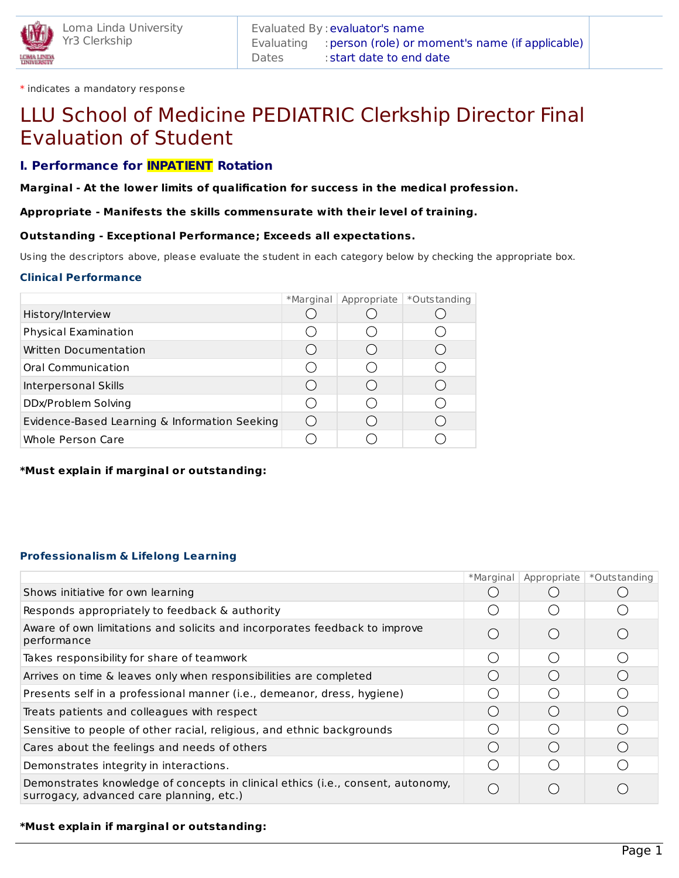

\* indicates a mandatory response

# LLU School of Medicine PEDIATRIC Clerkship Director Final Evaluation of Student

# **I. Performance for INPATIENT Rotation**

**Marginal - At the lower limits of qualification for success in the medical profession.**

## **Appropriate - Manifests the skills commensurate with their level of training.**

## **Outstanding - Exceptional Performance; Exceeds all expectations.**

Using the descriptors above, please evaluate the student in each category below by checking the appropriate box.

## **Clinical Performance**

|                                               | *Marginal | Appropriate | *Outstanding |
|-----------------------------------------------|-----------|-------------|--------------|
| History/Interview                             |           |             |              |
| Physical Examination                          |           |             |              |
| Written Documentation                         |           |             |              |
| Oral Communication                            |           |             |              |
| Interpersonal Skills                          |           |             |              |
| DDx/Problem Solving                           |           |             |              |
| Evidence-Based Learning & Information Seeking |           |             |              |
| Whole Person Care                             |           |             |              |

**\*Must explain if marginal or outstanding:**

## **Professionalism & Lifelong Learning**

|                                                                                                                             | *Marginal | Appropriate                                   | *Outstanding |
|-----------------------------------------------------------------------------------------------------------------------------|-----------|-----------------------------------------------|--------------|
| Shows initiative for own learning                                                                                           |           |                                               |              |
| Responds appropriately to feedback & authority                                                                              |           |                                               |              |
| Aware of own limitations and solicits and incorporates feedback to improve<br>performance                                   |           | $($ )                                         |              |
| Takes responsibility for share of teamwork                                                                                  |           | $\left( \quad \right)$                        |              |
| Arrives on time & leaves only when responsibilities are completed                                                           |           | $($ )                                         |              |
| Presents self in a professional manner (i.e., demeanor, dress, hygiene)                                                     |           |                                               |              |
| Treats patients and colleagues with respect                                                                                 |           | $\left(\begin{array}{c} \end{array}\right)$   |              |
| Sensitive to people of other racial, religious, and ethnic backgrounds                                                      |           | $\left( \begin{array}{c} \end{array} \right)$ |              |
| Cares about the feelings and needs of others                                                                                |           | $\left(\begin{array}{c} \end{array}\right)$   |              |
| Demonstrates integrity in interactions.                                                                                     |           |                                               |              |
| Demonstrates knowledge of concepts in clinical ethics (i.e., consent, autonomy,<br>surrogacy, advanced care planning, etc.) |           | $($ )                                         |              |

## **\*Must explain if marginal or outstanding:**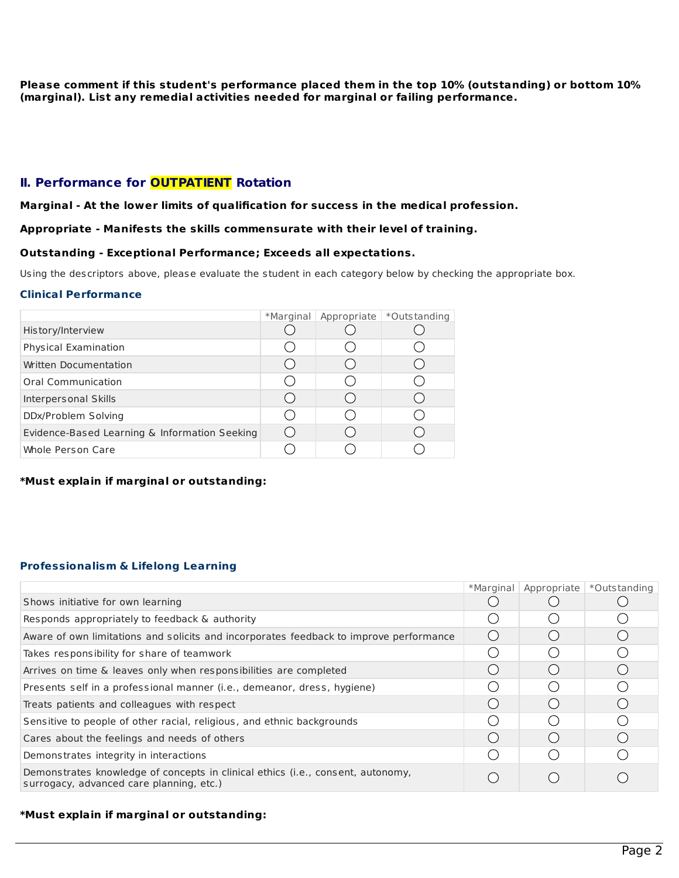**Please comment if this student's performance placed them in the top 10% (outstanding) or bottom 10% (marginal). List any remedial activities needed for marginal or failing performance.**

# **II. Performance for OUTPATIENT Rotation**

#### **Marginal - At the lower limits of qualification for success in the medical profession.**

#### **Appropriate - Manifests the skills commensurate with their level of training.**

#### **Outstanding - Exceptional Performance; Exceeds all expectations.**

Using the descriptors above, please evaluate the student in each category below by checking the appropriate box.

#### **Clinical Performance**

|                                               | *Marginal | Appropriate | *Outstanding |
|-----------------------------------------------|-----------|-------------|--------------|
| History/Interview                             |           |             |              |
| Physical Examination                          |           |             |              |
| Written Documentation                         |           |             |              |
| Oral Communication                            |           |             |              |
| Interpersonal Skills                          |           |             |              |
| DDx/Problem Solving                           |           |             |              |
| Evidence-Based Learning & Information Seeking |           |             |              |
| <b>Whole Person Care</b>                      |           |             |              |

#### **\*Must explain if marginal or outstanding:**

## **Professionalism & Lifelong Learning**

| (       |            |                                        |
|---------|------------|----------------------------------------|
| ( )     |            |                                        |
| ()      | $\sqrt{2}$ |                                        |
|         |            |                                        |
| $($ )   | $\sqrt{2}$ |                                        |
|         |            |                                        |
| $($ )   | $\sqrt{2}$ |                                        |
| $( \ )$ |            |                                        |
|         |            |                                        |
|         |            | *Marginal   Appropriate   *Outstanding |

#### **\*Must explain if marginal or outstanding:**